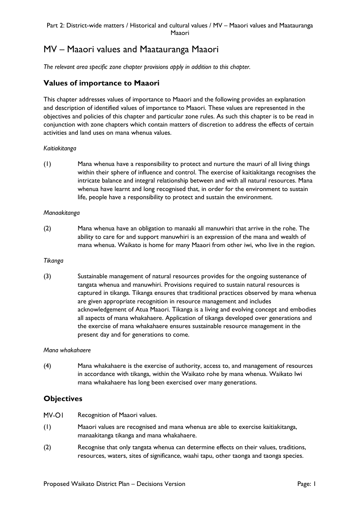# MV – Maaori values and Maatauranga Maaori

*The relevant area specific zone chapter provisions apply in addition to this chapter.*

# **Values of importance to Maaori**

This chapter addresses values of importance to Maaori and the following provides an explanation and description of identified values of importance to Maaori. These values are represented in the objectives and policies of this chapter and particular zone rules. As such this chapter is to be read in conjunction with zone chapters which contain matters of discretion to address the effects of certain activities and land uses on mana whenua values.

## *Kaitiakitanga*

(1) Mana whenua have a responsibility to protect and nurture the mauri of all living things within their sphere of influence and control. The exercise of kaitiakitanga recognises the intricate balance and integral relationship between and with all natural resources. Mana whenua have learnt and long recognised that, in order for the environment to sustain life, people have a responsibility to protect and sustain the environment.

### *Manaakitanga*

(2) Mana whenua have an obligation to manaaki all manuwhiri that arrive in the rohe. The ability to care for and support manuwhiri is an expression of the mana and wealth of mana whenua. Waikato is home for many Maaori from other iwi, who live in the region.

### *Tikanga*

(3) Sustainable management of natural resources provides for the ongoing sustenance of tangata whenua and manuwhiri. Provisions required to sustain natural resources is captured in tikanga. Tikanga ensures that traditional practices observed by mana whenua are given appropriate recognition in resource management and includes acknowledgement of Atua Maaori. Tikanga is a living and evolving concept and embodies all aspects of mana whakahaere. Application of tikanga developed over generations and the exercise of mana whakahaere ensures sustainable resource management in the present day and for generations to come.

### *Mana whakahaere*

(4) Mana whakahaere is the exercise of authority, access to, and management of resources in accordance with tikanga, within the Waikato rohe by mana whenua. Waikato Iwi mana whakahaere has long been exercised over many generations.

# **Objectives**

- MV-OI Recognition of Maaori values.
- (1) Maaori values are recognised and mana whenua are able to exercise kaitiakitanga, manaakitanga tikanga and mana whakahaere.
- (2) Recognise that only tangata whenua can determine effects on their values, traditions, resources, waters, sites of significance, waahi tapu, other taonga and taonga species.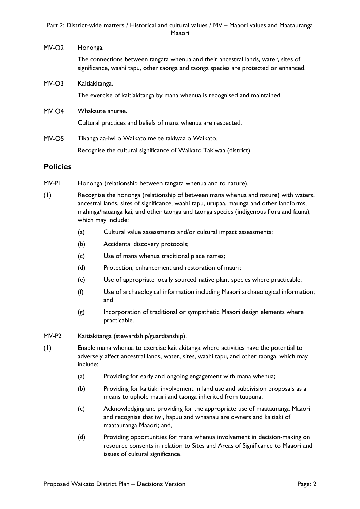## Part 2: District-wide matters / Historical and cultural values / MV – Maaori values and Maatauranga Maaori

| $MV-O2$ | Hononga.                                                                                                                                                                  |  |
|---------|---------------------------------------------------------------------------------------------------------------------------------------------------------------------------|--|
|         | The connections between tangata whenua and their ancestral lands, water, sites of<br>significance, waahi tapu, other taonga and taonga species are protected or enhanced. |  |
| $MV-O3$ | Kaitiakitanga.                                                                                                                                                            |  |
|         | The exercise of kaitiakitanga by mana whenua is recognised and maintained.                                                                                                |  |
| $MV-O4$ | Whakaute ahurae.                                                                                                                                                          |  |
|         | Cultural practices and beliefs of mana whenua are respected.                                                                                                              |  |
| MV-O5   | Tikanga aa-iwi o Waikato me te takiwaa o Waikato.                                                                                                                         |  |
|         | Recognise the cultural significance of Waikato Takiwaa (district).                                                                                                        |  |

# **Policies**

- MV-P1 Hononga (relationship between tangata whenua and to nature).
- (1) Recognise the hononga (relationship of between mana whenua and nature) with waters, ancestral lands, sites of significance, waahi tapu, urupaa, maunga and other landforms, mahinga/hauanga kai, and other taonga and taonga species (indigenous flora and fauna), which may include:
	- (a) Cultural value assessments and/or cultural impact assessments;
	- (b) Accidental discovery protocols;
	- (c) Use of mana whenua traditional place names;
	- (d) Protection, enhancement and restoration of mauri;
	- (e) Use of appropriate locally sourced native plant species where practicable;
	- (f) Use of archaeological information including Maaori archaeological information; and
	- (g) Incorporation of traditional or sympathetic Maaori design elements where practicable.
- MV-P2 Kaitiakitanga (stewardship/guardianship).
- (1) Enable mana whenua to exercise kaitiakitanga where activities have the potential to adversely affect ancestral lands, water, sites, waahi tapu, and other taonga, which may include:
	- (a) Providing for early and ongoing engagement with mana whenua;
	- (b) Providing for kaitiaki involvement in land use and subdivision proposals as a means to uphold mauri and taonga inherited from tuupuna;
	- (c) Acknowledging and providing for the appropriate use of maatauranga Maaori and recognise that iwi, hapuu and whaanau are owners and kaitiaki of maatauranga Maaori; and,
	- (d) Providing opportunities for mana whenua involvement in decision-making on resource consents in relation to Sites and Areas of Significance to Maaori and issues of cultural significance.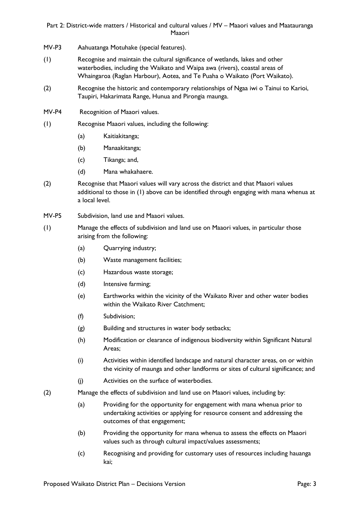## Part 2: District-wide matters / Historical and cultural values / MV – Maaori values and Maatauranga Maaori

- MV-P3 Aahuatanga Motuhake (special features).
- (1) Recognise and maintain the cultural significance of wetlands, lakes and other waterbodies, including the Waikato and Waipa awa (rivers), coastal areas of Whaingaroa (Raglan Harbour), Aotea, and Te Puaha o Waikato (Port Waikato).
- (2) Recognise the historic and contemporary relationships of Ngaa iwi o Tainui to Karioi, Taupiri, Hakarimata Range, Hunua and Pirongia maunga.
- MV-P4 Recognition of Maaori values.
- (1) Recognise Maaori values, including the following:
	- (a) Kaitiakitanga;
	- (b) Manaakitanga;
	- (c) Tikanga; and,
	- (d) Mana whakahaere.
- (2) Recognise that Maaori values will vary across the district and that Maaori values additional to those in (1) above can be identified through engaging with mana whenua at a local level.
- MV-P5 Subdivision, land use and Maaori values.
- (1) Manage the effects of subdivision and land use on Maaori values, in particular those arising from the following:
	- (a) Quarrying industry;
	- (b) Waste management facilities;
	- (c) Hazardous waste storage;
	- (d) Intensive farming;
	- (e) Earthworks within the vicinity of the Waikato River and other water bodies within the Waikato River Catchment:
	- (f) Subdivision;
	- (g) Building and structures in water body setbacks;
	- (h) Modification or clearance of indigenous biodiversity within Significant Natural Areas;
	- (i) Activities within identified landscape and natural character areas, on or within the vicinity of maunga and other landforms or sites of cultural significance; and
	- (j) Activities on the surface of waterbodies.
- (2) Manage the effects of subdivision and land use on Maaori values, including by:
	- (a) Providing for the opportunity for engagement with mana whenua prior to undertaking activities or applying for resource consent and addressing the outcomes of that engagement;
	- (b) Providing the opportunity for mana whenua to assess the effects on Maaori values such as through cultural impact/values assessments;
	- (c) Recognising and providing for customary uses of resources including hauanga kai;